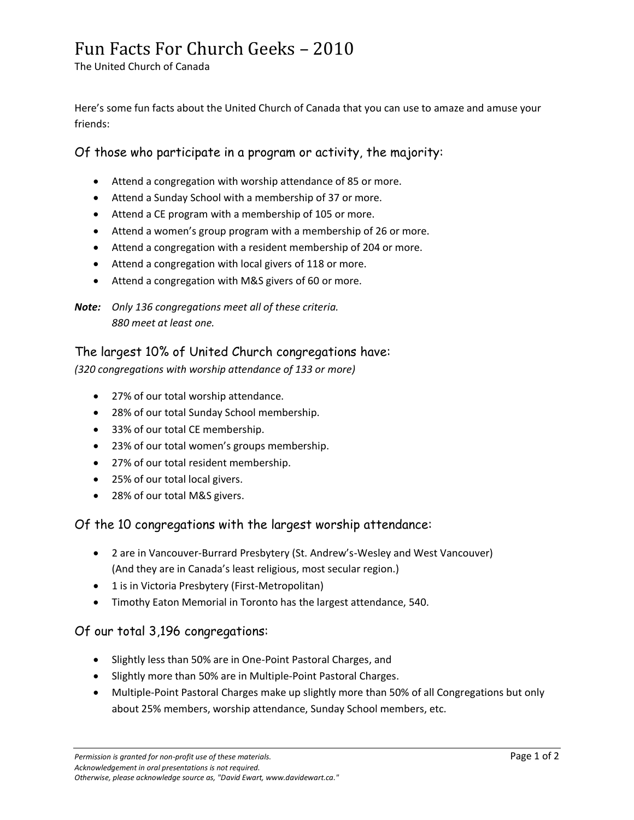## Fun Facts For Church Geeks – 2010

The United Church of Canada

Here's some fun facts about the United Church of Canada that you can use to amaze and amuse your friends:

#### Of those who participate in a program or activity, the majority:

- Attend a congregation with worship attendance of 85 or more.
- Attend a Sunday School with a membership of 37 or more.
- Attend a CE program with a membership of 105 or more.
- Attend a women's group program with a membership of 26 or more.
- Attend a congregation with a resident membership of 204 or more.
- Attend a congregation with local givers of 118 or more.
- Attend a congregation with M&S givers of 60 or more.

*Note: Only 136 congregations meet all of these criteria. 880 meet at least one.*

#### The largest 10% of United Church congregations have:

*(320 congregations with worship attendance of 133 or more)*

- 27% of our total worship attendance.
- 28% of our total Sunday School membership.
- 33% of our total CE membership.
- 23% of our total women's groups membership.
- 27% of our total resident membership.
- 25% of our total local givers.
- 28% of our total M&S givers.

### Of the 10 congregations with the largest worship attendance:

- 2 are in Vancouver-Burrard Presbytery (St. Andrew's-Wesley and West Vancouver) (And they are in Canada's least religious, most secular region.)
- 1 is in Victoria Presbytery (First-Metropolitan)
- Timothy Eaton Memorial in Toronto has the largest attendance, 540.

### Of our total 3,196 congregations:

- Slightly less than 50% are in One-Point Pastoral Charges, and
- Slightly more than 50% are in Multiple-Point Pastoral Charges.
- Multiple-Point Pastoral Charges make up slightly more than 50% of all Congregations but only about 25% members, worship attendance, Sunday School members, etc.